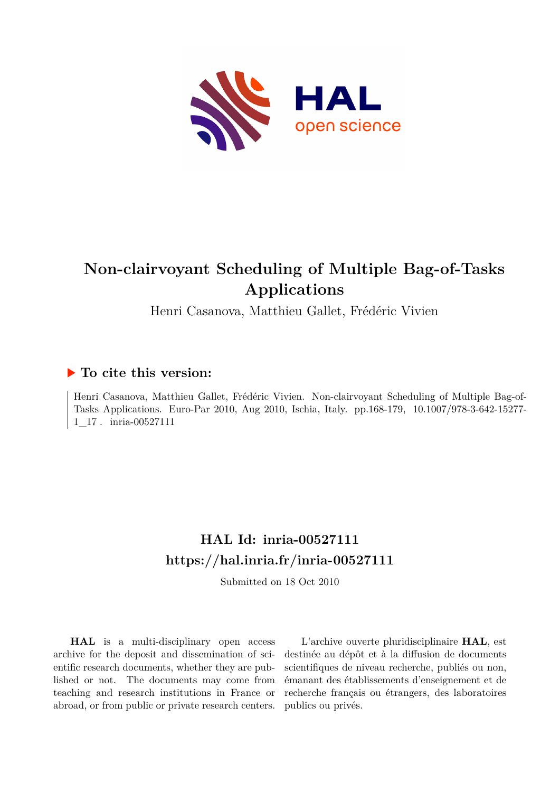

# **Non-clairvoyant Scheduling of Multiple Bag-of-Tasks Applications**

Henri Casanova, Matthieu Gallet, Frédéric Vivien

# **To cite this version:**

Henri Casanova, Matthieu Gallet, Frédéric Vivien. Non-clairvoyant Scheduling of Multiple Bag-of-Tasks Applications. Euro-Par 2010, Aug 2010, Ischia, Italy. pp.168-179, 10.1007/978-3-642-15277- $1\_17$ . inria-00527111

# **HAL Id: inria-00527111 <https://hal.inria.fr/inria-00527111>**

Submitted on 18 Oct 2010

**HAL** is a multi-disciplinary open access archive for the deposit and dissemination of scientific research documents, whether they are published or not. The documents may come from teaching and research institutions in France or abroad, or from public or private research centers.

L'archive ouverte pluridisciplinaire **HAL**, est destinée au dépôt et à la diffusion de documents scientifiques de niveau recherche, publiés ou non, émanant des établissements d'enseignement et de recherche français ou étrangers, des laboratoires publics ou privés.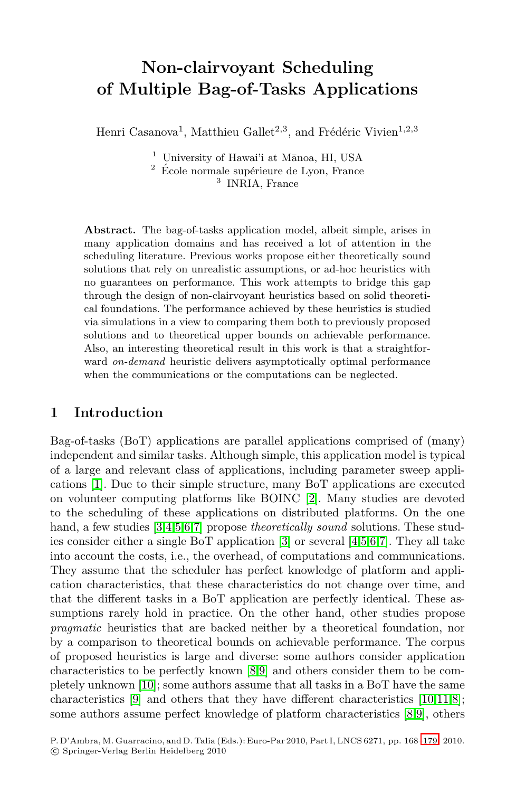# **Non-clairvoyant Scheduling of Multiple Bag-of-Tasks Applications**

Henri Casanova<sup>1</sup>, Matthieu Gallet<sup>2,3</sup>, and Frédéric Vivien<sup>1,2,3</sup>

 $<sup>1</sup>$  University of Hawai'i at Mānoa, HI, USA</sup>

 $^2$  École normale supérieure de Lyon, France <sup>3</sup> INRIA, France

**Abstract.** The bag-of-tasks application model, albeit simple, arises in many application domains and has received a lot of attention in the scheduling literature. Previous works propose either theoretically sound solutions that rely on unrealistic assumptions, or ad-hoc heuristics with no guarantees on performance. This work attempts to bridge this gap through the design of non-clairvoyant heuristics based on solid theoretical foundations. The performance achieved by these heuristics is studied via simulations in a view to comparing them both to previously proposed solutions and to theoretical upper bounds on achievable performance. Also, an interesting theoretical result in this work is that a straightforward *on-demand* heuristic delivers asymptotically optimal performance when the communications or the computations can be neglected.

#### **1 Introduction**

Bag-of-tasks (BoT) applications are parallel applications comprised of (many) independent and similar tasks. Although simple, this application model is typical of a large and relevant class of applications, including parameter sweep applications [1]. Due to their simple structure, many BoT applications are executed on volunteer computing platforms like BOINC [2]. Many studies are devoted to the scheduling of these applications on distributed platforms. On the one hand, a few studies [3,4,5,6,7] propose *theoretically sound* solutions. These studies consider either a single BoT application [3] or several [4,5,6,7]. They all take into account the costs, i.e., the overhead, of computations and communications. They assume that the scheduler has perfect knowledge of platform and application characteristics, that these characteristics do not change over time, and that the different tasks in a BoT application are perfectly identical. These assumptions rarely hold in practice. On the other hand, other studies propose *pragmatic* heuristics that are backed neither by a theoretical foundation, nor by a comparison to theoretical bounds on achievable performance. The corpus of proposed heuristics is large and diverse: some authors consider application characteristics to be perfectly known [8,9] and others consider them to be completely unknown [10]; some authors assume that all tasks in a BoT have the same characteristics [9] and others that they have different characteristics [10,11,8]; some authors assume perfect knowledge of platform characteristics [8,9], others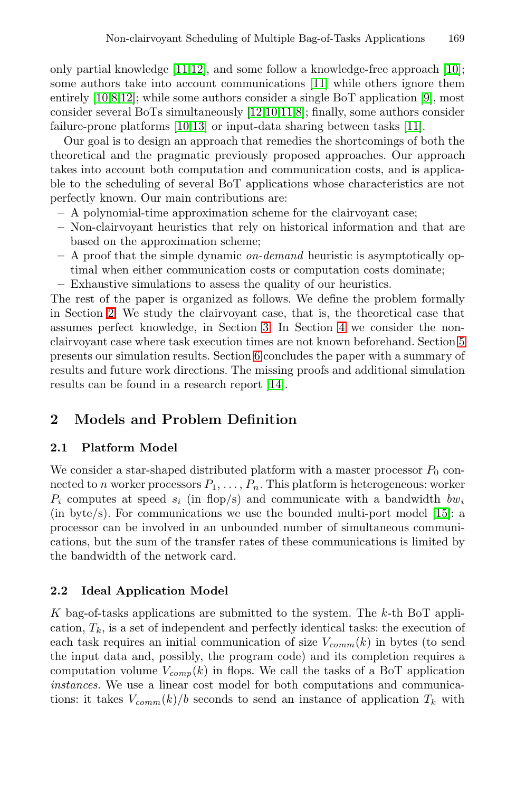only partial knowledge [11,12], and some follow a knowledge-free approach [10]; some authors take into account communications [11] while others ignore them entirely [10,8,12]; while some authors consider a single BoT application [9], most consider several BoTs simultaneously [12,10,11,8]; finally, some authors consider failure-prone platforms [10,13] or input-data sharing between tasks [11].

Our goal is to design an approach that remedies the shortcomings of both the theoretical and the pragmatic previously proposed approaches. Our approach takes into account both computation and communication costs, and is applicable to the scheduling of several BoT applications whose characteristics are not perfectly known. Our main contributions are:

- **–** A polynomial-time approximation scheme for the clairvoyant case;
- **–** Non-clairvoyant heuristics that rely on historical information and that are based on the approximation scheme;
- **–** A proof that the simple dynamic *on-demand* heuristic is asymptotically optimal when either communication costs or computation costs dominate;
- **–** Exhaustive simulations to assess the quality of our heuristics.

The rest of the paper is organized as follows. We define the problem formally in Section 2. We study the clairvoyant case, that is, the theoretical case that assumes perfect knowledge, in Section 3. In Section 4 we consider the nonclairvoyant case where task execution times are not known beforehand. Section 5 presents our simulation results. Section 6 concludes the paper with a summary of results and future work directions. The missing proofs and additional simulation results can be found in a research report [14].

# **2 Models and Problem Definition**

#### **2.1 Platform Model**

We consider a star-shaped distributed platform with a master processor  $P_0$  connected to n worker processors  $P_1, \ldots, P_n$ . This platform is heterogeneous: worker  $P_i$  computes at speed  $s_i$  (in flop/s) and communicate with a bandwidth  $bw_i$ (in byte/s). For communications we use the bounded multi-port model [15]: a processor can be involved in an unbounded number of simultaneous communications, but the sum of the transfer rates of these communications is limited by the bandwidth of the network card.

#### **2.2 Ideal Application Model**

K bag-of-tasks applications are submitted to the system. The  $k$ -th BoT application,  $T_k$ , is a set of independent and perfectly identical tasks: the execution of each task requires an initial communication of size V*comm*(k) in bytes (to send the input data and, possibly, the program code) and its completion requires a computation volume  $V_{comp}(k)$  in flops. We call the tasks of a BoT application *instances*. We use a linear cost model for both computations and communications: it takes  $V_{comm}(k)/b$  seconds to send an instance of application  $T_k$  with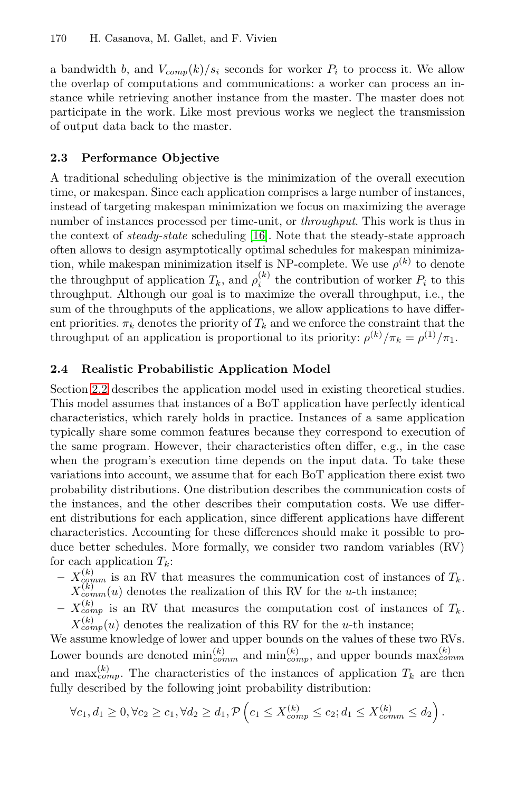a bandwidth b, and  $V_{comp}(k)/s_i$  seconds for worker  $P_i$  to process it. We allow the overlap of computations and communications: a worker can process an instance while retrieving another instance from the master. The master does not participate in the work. Like most previous works we neglect the transmission of output data back to the master.

#### **2.3 Performance Objective**

A traditional scheduling objective is the minimization of the overall execution time, or makespan. Since each application comprises a large number of instances, instead of targeting makespan minimization we focus on maximizing the average number of instances processed per time-unit, or *throughput*. This work is thus in the context of *steady-state* scheduling [16]. Note that the steady-state approach often allows to design asymptotically optimal schedules for makespan minimization, while makespan minimization itself is NP-complete. We use  $\rho^{(k)}$  to denote the throughput of application  $T_k$ , and  $\rho_i^{(k)}$  the contribution of worker  $P_i$  to this throughput. Although our goal is to maximize the overall throughput, i.e., the sum of the throughputs of the applications, we allow applications to have different priorities.  $\pi_k$  denotes the priority of  $T_k$  and we enforce the constraint that the throughput of an application is proportional to its priority:  $\rho^{(k)}/\pi_k = \rho^{(1)}/\pi_1$ .

#### **2.4 Realistic Probabilistic Application Model**

Section 2.2 describes the application model used in existing theoretical studies. This model assumes that instances of a BoT application have perfectly identical characteristics, which rarely holds in practice. Instances of a same application typically share some common features because they correspond to execution of the same program. However, their characteristics often differ, e.g., in the case when the program's execution time depends on the input data. To take these variations into account, we assume that for each BoT application there exist two probability distributions. One distribution describes the communication costs of the instances, and the other describes their computation costs. We use different distributions for each application, since different applications have different characteristics. Accounting for these differences should make it possible to produce better schedules. More formally, we consider two random variables (RV) for each application  $T_k$ :

- $X_{\text{comm}}^{(k)}$  is an RV that measures the communication cost of instances of  $T_k$ .  $X_{comm}^{(k)}(u)$  denotes the realization of this RV for the u-th instance;
- $X_{comp}^{(k)}$  is an RV that measures the computation cost of instances of  $T_k$ .  $X_{comp}^{(k)}(u)$  denotes the realization of this RV for the u-th instance;

We assume knowledge of lower and upper bounds on the values of these two RVs. Lower bounds are denoted  $\min_{comm}^{(k)}$  and  $\min_{comp}^{(k)}$ , and upper bounds  $\max_{comm}^{(k)}$ and max ${}_{comp.}^{(k)}$ . The characteristics of the instances of application  $T_k$  are then fully described by the following joint probability distribution:

$$
\forall c_1, d_1 \geq 0, \forall c_2 \geq c_1, \forall d_2 \geq d_1, \mathcal{P}\left(c_1 \leq X_{comp}^{(k)} \leq c_2; d_1 \leq X_{comm}^{(k)} \leq d_2\right).
$$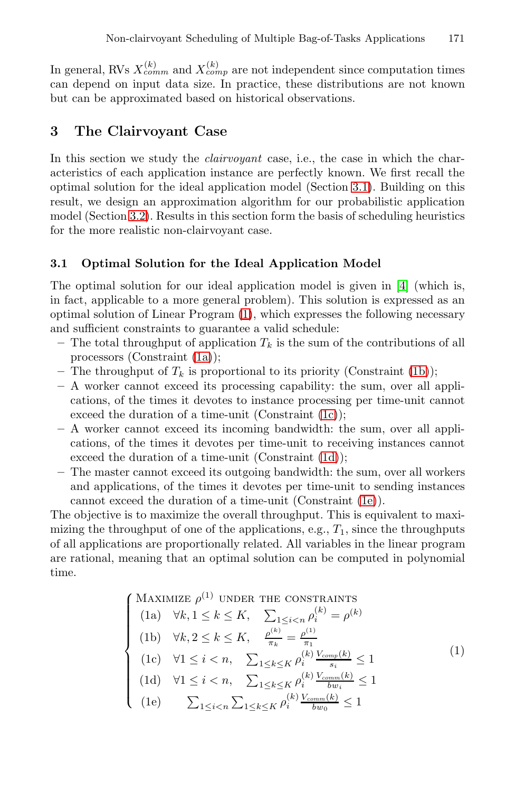In general, RVs  $X_{comm}^{(k)}$  and  $X_{comp}^{(k)}$  are not independent since computation times can depend on input data size. In practice, these distributions are not known but can be approximated based on historical observations.

## **3 The Clairvoyant Case**

In this section we study the *clairvoyant* case, i.e., the case in which the characteristics of each application instance are perfectly known. We first recall the optimal solution for the ideal application model (Section 3.1). Building on this result, we design an approximation algorithm for our probabilistic application model (Section 3.2). Results in this section form the basis of scheduling heuristics for the more realistic non-clairvoyant case.

#### **3.1 Optimal Solution for the Ideal Application Model**

The optimal solution for our ideal application model is given in [4] (which is, in fact, applicable to a more general problem). This solution is expressed as an optimal solution of Linear Program (1), which expresses the following necessary and sufficient constraints to guarantee a valid schedule:

- The total throughput of application  $T_k$  is the sum of the contributions of all processors (Constraint (1a));
- The throughput of  $T_k$  is proportional to its priority (Constraint (1b));
- **–** A worker cannot exceed its processing capability: the sum, over all applications, of the times it devotes to instance processing per time-unit cannot exceed the duration of a time-unit (Constraint (1c));
- **–** A worker cannot exceed its incoming bandwidth: the sum, over all applications, of the times it devotes per time-unit to receiving instances cannot exceed the duration of a time-unit (Constraint (1d));
- **–** The master cannot exceed its outgoing bandwidth: the sum, over all workers and applications, of the times it devotes per time-unit to sending instances cannot exceed the duration of a time-unit (Constraint (1e)).

The objective is to maximize the overall throughput. This is equivalent to maximizing the throughput of one of the applications, e.g.,  $T_1$ , since the throughputs of all applications are proportionally related. All variables in the linear program are rational, meaning that an optimal solution can be computed in polynomial time.

$$
\begin{cases}\n\text{MAXIMIZE } \rho^{(1)} \text{ UNDER THE CONSTRAINTS} \\
\text{(1a)} \quad \forall k, 1 \le k \le K, \quad \sum_{1 \le i < n} \rho_i^{(k)} = \rho^{(k)} \\
\text{(1b)} \quad \forall k, 2 \le k \le K, \quad \frac{\rho^{(k)}}{\pi_k} = \frac{\rho^{(1)}}{\pi_1} \\
\text{(1c)} \quad \forall 1 \le i < n, \quad \sum_{1 \le k \le K} \rho_i^{(k)} \frac{V_{comp}(k)}{s_i} \le 1 \\
\text{(1d)} \quad \forall 1 \le i < n, \quad \sum_{1 \le k \le K} \rho_i^{(k)} \frac{V_{comm}(k)}{bw_i} \le 1 \\
\text{(1e)} \quad \sum_{1 \le i < n} \sum_{1 \le k \le K} \rho_i^{(k)} \frac{V_{comm}(k)}{bw_0} \le 1\n\end{cases} \tag{1}
$$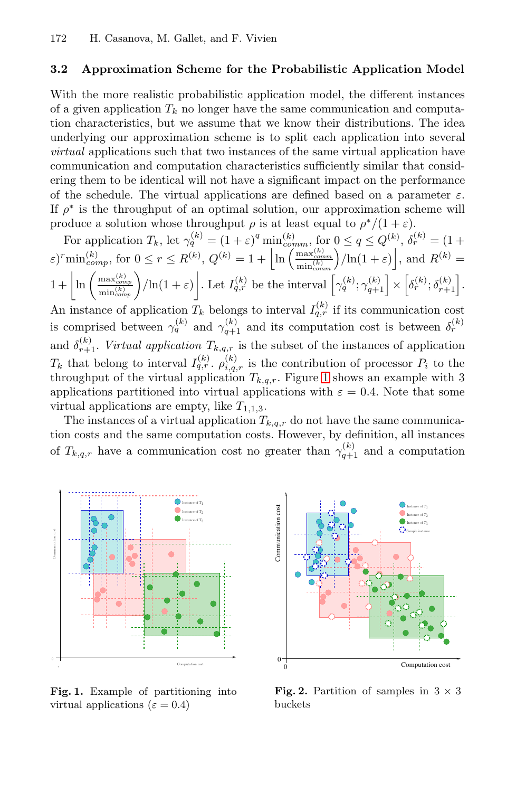#### **3.2 Approximation Scheme for the Probabilistic Application Model**

With the more realistic probabilistic application model, the different instances of a given application  $T_k$  no longer have the same communication and computation characteristics, but we assume that we know their distributions. The idea underlying our approximation scheme is to split each application into several *virtual* applications such that two instances of the same virtual application have communication and computation characteristics sufficiently similar that considering them to be identical will not have a significant impact on the performance of the schedule. The virtual applications are defined based on a parameter  $\varepsilon$ . If  $\rho^*$  is the throughput of an optimal solution, our approximation scheme will produce a solution whose throughput  $\rho$  is at least equal to  $\rho^*/(1+\varepsilon)$ .

For application  $T_k$ , let  $\gamma_q^{(k)} = (1 + \varepsilon)^q \min_{comm}^{(k)}$ , for  $0 \le q \le Q^{(k)}$ ,  $\delta_r^{(k)} = (1 + \varepsilon)^q \min_{m \in \mathbb{N}}$  $(\varepsilon)^r \min_{comp}^{(k)}$ , for  $0 \le r \le R^{(k)}$ ,  $Q^{(k)} = 1 + \left[ \ln \left( \frac{\max_{comp}^{(k)}}{\min_{comp}^{(k)}} \right) \right]$  $\left|\left|\ln(1+\varepsilon)\right|\right|$ , and  $R^{(k)}=$  $1 + \left| \ln \left( \frac{\max_{comp}^{(k)}}{\min_{comp}^{(k)}} \right) / \ln(1+\varepsilon) \right|$ . Let  $I_{q,r}^{(k)}$  be the interval  $\left[ \gamma_q^{(k)}; \gamma_{q+1}^{(k)} \right] \times \left[ \delta_r^{(k)}; \delta_{r+1}^{(k)} \right]$ . An instance of application  $T_k$  belongs to interval  $I_{q,r}^{(k)}$  if its communication cost is comprised between  $\gamma_q^{(k)}$  and  $\gamma_{q+1}^{(k)}$  and its computation cost is between  $\delta_r^{(k)}$ and  $\delta_{r+1}^{(k)}$ . *Virtual application*  $T_{k,q,r}$  is the subset of the instances of application  $T_k$  that belong to interval  $I_{q,r}^{(k)}$ .  $\rho_{i,q,r}^{(k)}$  is the contribution of processor  $P_i$  to the throughput of the virtual application  $T_{k,q,r}$ . Figure 1 shows an example with 3 applications partitioned into virtual applications with  $\varepsilon = 0.4$ . Note that some virtual applications are empty, like  $T_{1,1,3}$ .

The instances of a virtual application  $T_{k,q,r}$  do not have the same communication costs and the same computation costs. However, by definition, all instances of  $T_{k,q,r}$  have a communication cost no greater than  $\gamma_{q+1}^{(k)}$  and a computation



**Fig. 1.** Example of partitioning into virtual applications ( $\varepsilon = 0.4$ )



**Fig. 2.** Partition of samples in  $3 \times 3$ buckets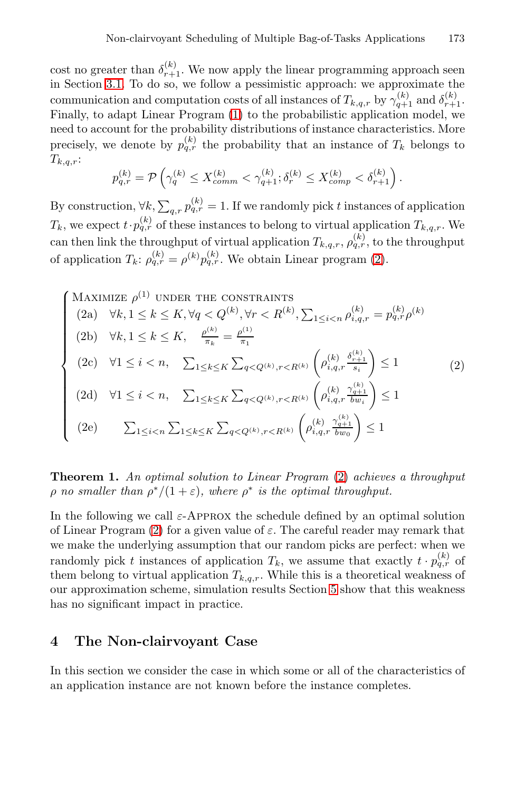cost no greater than  $\delta_{r+1}^{(k)}$ . We now apply the linear programming approach seen in Section 3.1. To do so, we follow a pessimistic approach: we approximate the communication and computation costs of all instances of  $T_{k,q,r}$  by  $\gamma_{q+1}^{(k)}$  and  $\delta_{r+1}^{(k)}$ . Finally, to adapt Linear Program (1) to the probabilistic application model, we need to account for the probability distributions of instance characteristics. More precisely, we denote by  $p_{q,r}^{(k)}$  the probability that an instance of  $T_k$  belongs to  $T_{k,q,r}$ :

$$
p_{q,r}^{(k)} = \mathcal{P}\left(\gamma_q^{(k)} \le X_{comm}^{(k)} < \gamma_{q+1}^{(k)}; \delta_r^{(k)} \le X_{comp}^{(k)} < \delta_{r+1}^{(k)}\right).
$$

By construction,  $\forall k, \sum_{q,r} p_{q,r}^{(k)} = 1$ . If we randomly pick t instances of application  $T_k$ , we expect  $t \cdot p_{q,r}^{(k)}$  of these instances to belong to virtual application  $T_{k,q,r}$ . We can then link the throughput of virtual application  $T_{k,q,r}$ ,  $\rho_{q,r}^{(k)}$ , to the throughput of application  $T_k$ :  $\rho_{q,r}^{(k)} = \rho^{(k)} p_{q,r}^{(k)}$ . We obtain Linear program (2).

$$
\begin{cases}\n\text{MAXIMIZE } \rho^{(1)} \text{ UNDER THE CONSTRAINTS} \\
(2a) \quad \forall k, 1 \le k \le K, \forall q < Q^{(k)}, \forall r < R^{(k)}, \sum_{1 \le i < n} \rho_{i,q,r}^{(k)} = p_{q,r}^{(k)} \rho^{(k)} \\
(2b) \quad \forall k, 1 \le k \le K, \quad \frac{\rho_{n}^{(k)}}{\pi_k} = \frac{\rho_{n}^{(1)}}{\pi_1} \\
(2c) \quad \forall 1 \le i < n, \quad \sum_{1 \le k \le K} \sum_{q < Q^{(k)}, r < R^{(k)}} \left( \rho_{i,q,r}^{(k)} \frac{\delta_{r+1}^{(k)}}{\sigma_{i,q}} \right) \le 1 \\
(2d) \quad \forall 1 \le i < n, \quad \sum_{1 \le k \le K} \sum_{q < Q^{(k)}, r < R^{(k)}} \left( \rho_{i,q,r}^{(k)} \frac{\gamma_{q+1}^{(k)}}{\sigma_{w_i}} \right) \le 1 \\
(2e) \quad \sum_{1 \le i < n} \sum_{1 \le k \le K} \sum_{q < Q^{(k)}, r < R^{(k)}} \left( \rho_{i,q,r}^{(k)} \frac{\gamma_{q+1}^{(k)}}{\sigma_{w_0}} \right) \le 1\n\end{cases} \tag{2}
$$

**Theorem 1.** *An optimal solution to Linear Program* (2) *achieves a throughput*  $\rho$  *no smaller than*  $\rho^*/(1+\varepsilon)$ *, where*  $\rho^*$  *is the optimal throughput.* 

In the following we call  $\varepsilon$ -APPROX the schedule defined by an optimal solution of Linear Program (2) for a given value of  $\varepsilon$ . The careful reader may remark that we make the underlying assumption that our random picks are perfect: when we randomly pick t instances of application  $T_k$ , we assume that exactly  $t \cdot p_{q,r}^{(k)}$  of them belong to virtual application  $T_{k,q,r}$ . While this is a theoretical weakness of our approximation scheme, simulation results Section 5 show that this weakness has no significant impact in practice.

## **4 The Non-clairvoyant Case**

In this section we consider the case in which some or all of the characteristics of an application instance are not known before the instance completes.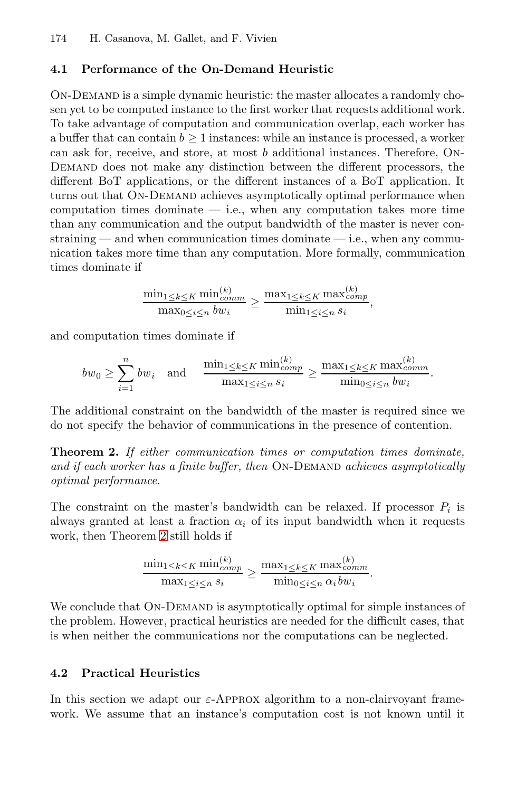#### **4.1 Performance of the On-Demand Heuristic**

On-Demand is a simple dynamic heuristic: the master allocates a randomly chosen yet to be computed instance to the first worker that requests additional work. To take advantage of computation and communication overlap, each worker has a buffer that can contain  $b \geq 1$  instances: while an instance is processed, a worker can ask for, receive, and store, at most b additional instances. Therefore, On-Demand does not make any distinction between the different processors, the different BoT applications, or the different instances of a BoT application. It turns out that ON-DEMAND achieves asymptotically optimal performance when computation times dominate  $-$  i.e., when any computation takes more time than any communication and the output bandwidth of the master is never constraining — and when communication times dominate — i.e., when any communication takes more time than any computation. More formally, communication times dominate if

$$
\frac{\min_{1 \leq k \leq K} \min_{comm}}{\max_{0 \leq i \leq n} bw_{i}} \geq \frac{\max_{1 \leq k \leq K} \max_{comm}}{\min_{1 \leq i \leq n} s_{i}},
$$

and computation times dominate if

$$
bw_0 \geq \sum_{i=1}^n bw_i \quad \text{and} \quad \frac{\min_{1 \leq k \leq K} \min_{comp}^{(k)}}{\max_{1 \leq i \leq n} s_i} \geq \frac{\max_{1 \leq k \leq K} \max_{comp}^{(k)}}{\min_{0 \leq i \leq n} bw_i}.
$$

The additional constraint on the bandwidth of the master is required since we do not specify the behavior of communications in the presence of contention.

**Theorem 2.** *If either communication times or computation times dominate,* and if each worker has a finite buffer, then ON-DEMAND achieves asymptotically *optimal performance.*

The constraint on the master's bandwidth can be relaxed. If processor  $P_i$  is always granted at least a fraction  $\alpha_i$  of its input bandwidth when it requests work, then Theorem 2 still holds if

$$
\frac{\min_{1 \leq k \leq K} \min_{comp}^{(k)}}{\max_{1 \leq i \leq n} s_i} \geq \frac{\max_{1 \leq k \leq K} \max_{comp}^{(k)}}{\min_{0 \leq i \leq n} \alpha_i b w_i}.
$$

We conclude that ON-DEMAND is asymptotically optimal for simple instances of the problem. However, practical heuristics are needed for the difficult cases, that is when neither the communications nor the computations can be neglected.

#### **4.2 Practical Heuristics**

In this section we adapt our  $\varepsilon$ -APPROX algorithm to a non-clairvoyant framework. We assume that an instance's computation cost is not known until it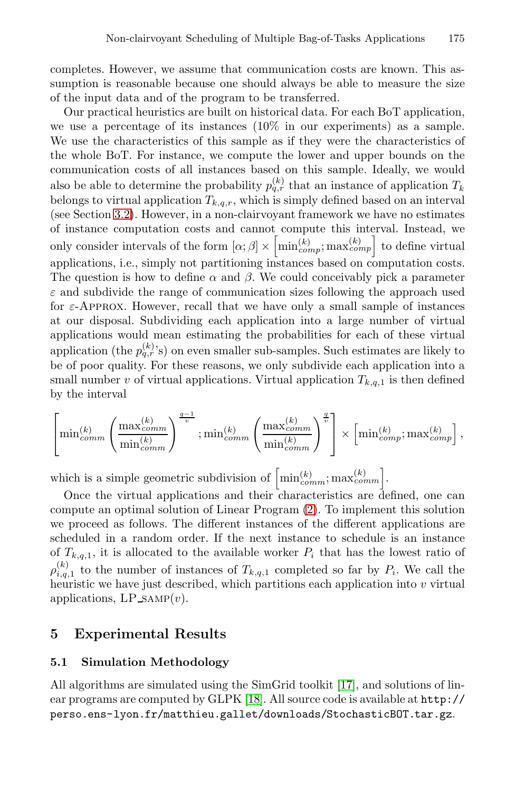completes. However, we assume that communication costs are known. This assumption is reasonable because one should always be able to measure the size of the input data and of the program to be transferred.

Our practical heuristics are built on historical data. For each BoT application, we use a percentage of its instances (10% in our experiments) as a sample. We use the characteristics of this sample as if they were the characteristics of the whole BoT. For instance, we compute the lower and upper bounds on the communication costs of all instances based on this sample. Ideally, we would also be able to determine the probability  $p_{q,r}^{(k)}$  that an instance of application  $T_k$ belongs to virtual application  $T_{k,q,r}$ , which is simply defined based on an interval (see Section 3.2). However, in a non-clairvoyant framework we have no estimates of instance computation costs and cannot compute this interval. Instead, we only consider intervals of the form  $[\alpha; \beta] \times \left[\min_{comp}^{(k)}; \max_{comp}\right]$  to define virtual applications, i.e., simply not partitioning instances based on computation costs. The question is how to define  $\alpha$  and  $\beta$ . We could conceivably pick a parameter  $\varepsilon$  and subdivide the range of communication sizes following the approach used for  $\varepsilon$ -APPROX. However, recall that we have only a small sample of instances at our disposal. Subdividing each application into a large number of virtual applications would mean estimating the probabilities for each of these virtual application (the  $p_{q,r}^{(k)}$ 's) on even smaller sub-samples. Such estimates are likely to be of poor quality. For these reasons, we only subdivide each application into a small number v of virtual applications. Virtual application  $T_{k,q,1}$  is then defined by the interval

$$
\left[\min_{comm}^{(k)} \left( \frac{\max_{comm}^{(k)}}{\min_{comm}^{(k)}} \right)^{\frac{q-1}{v}}; \min_{comm}^{(k)} \left( \frac{\max_{comm}^{(k)}}{\min_{comm}^{(k)}} \right)^{\frac{q}{v}} \right] \times \left[\min_{comp}^{(k)}; \max_{comp}^{(k)}\right],
$$

which is a simple geometric subdivision of  $\left[\min_{comm}^{(k)}; \max_{comm}^{(k)}\right]$ .

Once the virtual applications and their characteristics are defined, one can compute an optimal solution of Linear Program (2). To implement this solution we proceed as follows. The different instances of the different applications are scheduled in a random order. If the next instance to schedule is an instance of  $T_{k,q,1}$ , it is allocated to the available worker  $P_i$  that has the lowest ratio of  $\rho_{i,q,1}^{(k)}$  to the number of instances of  $T_{k,q,1}$  completed so far by  $P_i$ . We call the heuristic we have just described, which partitions each application into  $v$  virtual applications,  $LP\_sAMP(v)$ .

## **5 Experimental Results**

#### **5.1 Simulation Methodology**

All algorithms are simulated using the SimGrid toolkit [17], and solutions of linear programs are computed by GLPK [18]. All source code is available at [http://](http://perso.ens-lyon.fr/matthieu.gallet/downloads/StochasticBOT.tar.gz) [perso.ens-lyon.fr/matthieu.gallet/downloads/StochasticBOT.tar.gz](http://perso.ens-lyon.fr/matthieu.gallet/downloads/StochasticBOT.tar.gz).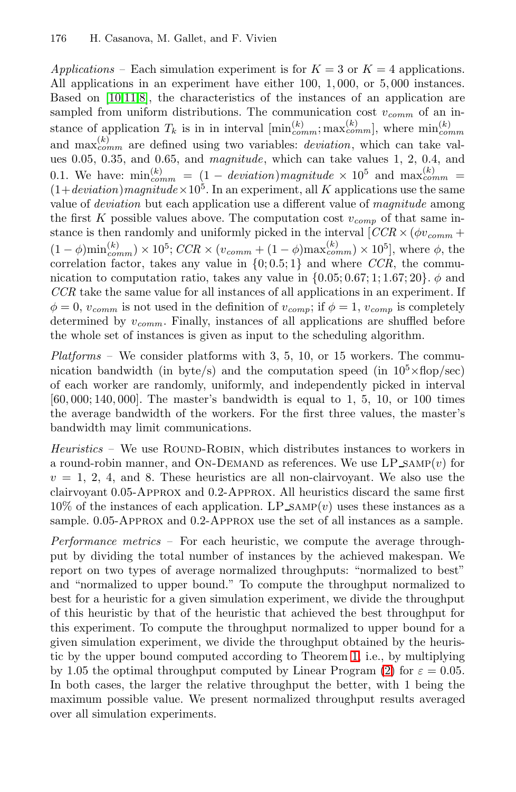*Applications –* Each simulation experiment is for  $K = 3$  or  $K = 4$  applications. All applications in an experiment have either 100, 1, 000, or 5, 000 instances. Based on [10,11,8], the characteristics of the instances of an application are sampled from uniform distributions. The communication cost  $v_{comm}$  of an instance of application  $T_k$  is in in interval  $[\min_{comm}^{(k)}$ ;  $\max_{comm}^{(k)}]$ , where  $\min_{comm}^{(k)}$ and  $\max_{comm}^{(k)}$  are defined using two variables: *deviation*, which can take values 0.05, 0.35, and 0.65, and *magnitude*, which can take values 1, 2, 0.4, and 0.1. We have:  $\min_{comm}^{(k)} = (1 - deviation)$  *magnitude*  $\times 10^5$  and  $\max_{comm}^{(k)} =$  $(1+deviation)$ *magnitude*  $\times 10^5$ . In an experiment, all K applications use the same value of *deviation* but each application use a different value of *magnitude* among the first K possible values above. The computation cost  $v_{comp}$  of that same instance is then randomly and uniformly picked in the interval  $[CCR \times (\phi v_{comm} +$  $(1 - \phi)\min_{comm}^{(k)} \times 10^5$ ;  $CCR \times (v_{comm} + (1 - \phi)\max_{comm}) \times 10^5$ , where  $\phi$ , the correlation factor, takes any value in  $\{0, 0.5, 1\}$  and where *CCR*, the communication to computation ratio, takes any value in  $\{0.05; 0.67; 1; 1.67; 20\}$ .  $\phi$  and *CCR* take the same value for all instances of all applications in an experiment. If  $\phi = 0$ ,  $v_{comm}$  is not used in the definition of  $v_{comp}$ ; if  $\phi = 1$ ,  $v_{comp}$  is completely determined by v*comm*. Finally, instances of all applications are shuffled before the whole set of instances is given as input to the scheduling algorithm.

*Platforms –* We consider platforms with 3, 5, 10, or 15 workers. The communication bandwidth (in byte/s) and the computation speed (in  $10^5 \times$ flop/sec) of each worker are randomly, uniformly, and independently picked in interval  $[60,000; 140,000]$ . The master's bandwidth is equal to 1, 5, 10, or 100 times the average bandwidth of the workers. For the first three values, the master's bandwidth may limit communications.

*Heuristics –* We use ROUND-ROBIN, which distributes instances to workers in a round-robin manner, and ON-DEMAND as references. We use  $LP\_sAMP(v)$  for  $v = 1, 2, 4$ , and 8. These heuristics are all non-clairvoyant. We also use the clairvoyant 0.05-Approx and 0.2-Approx. All heuristics discard the same first  $10\%$  of the instances of each application. LP\_SAMP $(v)$  uses these instances as a sample. 0.05-Approx and 0.2-Approx use the set of all instances as a sample.

*Performance metrics –* For each heuristic, we compute the average throughput by dividing the total number of instances by the achieved makespan. We report on two types of average normalized throughputs: "normalized to best" and "normalized to upper bound." To compute the throughput normalized to best for a heuristic for a given simulation experiment, we divide the throughput of this heuristic by that of the heuristic that achieved the best throughput for this experiment. To compute the throughput normalized to upper bound for a given simulation experiment, we divide the throughput obtained by the heuristic by the upper bound computed according to Theorem 1, i.e., by multiplying by 1.05 the optimal throughput computed by Linear Program (2) for  $\varepsilon = 0.05$ . In both cases, the larger the relative throughput the better, with 1 being the maximum possible value. We present normalized throughput results averaged over all simulation experiments.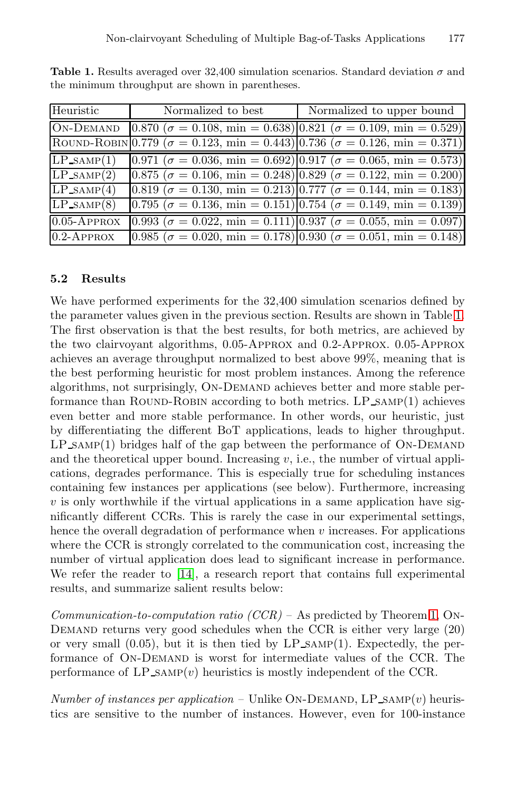| Heuristic                          | Normalized to best | Normalized to upper bound                                                                                  |
|------------------------------------|--------------------|------------------------------------------------------------------------------------------------------------|
| <b>ON-DEMAND</b>                   |                    | $[0.870 \; (\sigma = 0.108, \, \text{min} = 0.638)] \, [0.821 \; (\sigma = 0.109, \, \text{min} = 0.529)]$ |
|                                    |                    | ROUND-ROBIN 0.779 ( $\sigma = 0.123$ , min = 0.443) 0.736 ( $\sigma = 0.126$ , min = 0.371)                |
| $\overline{\text{LP}}$ _SAMP $(1)$ |                    | $(0.971~(\sigma = 0.036, \text{ min} = 0.692))$ (0.917 ( $\sigma = 0.065, \text{ min} = 0.573)$ )          |
| $LP\_SAMP(2)$                      |                    | $[0.875 \; (\sigma = 0.106, \, \text{min} = 0.248)]0.829 \; (\sigma = 0.122, \, \text{min} = 0.200)$       |
| $LP\_SAMP(4)$                      |                    | $[0.819 \; (\sigma = 0.130, \, \text{min} = 0.213)]0.777 \; (\sigma = 0.144, \, \text{min} = 0.183)]$      |
| $LP_{SAMP}(8)$                     |                    | $(0.795~(\sigma = 0.136, \text{min} = 0.151)) [0.754~(\sigma = 0.149, \text{min} = 0.139)]$                |
| $0.05$ -APPROX                     |                    | $[0.993~(\sigma = 0.022, \text{min} = 0.111)]0.937~(\sigma = 0.055, \text{min} = 0.097)$                   |
| $0.2$ -APPROX                      |                    | $[0.985 \; (\sigma = 0.020, \, \text{min} = 0.178)   0.930 \; (\sigma = 0.051, \, \text{min} = 0.148)$     |

**Table 1.** Results averaged over 32,400 simulation scenarios. Standard deviation  $\sigma$  and the minimum throughput are shown in parentheses.

#### **5.2 Results**

We have performed experiments for the 32,400 simulation scenarios defined by the parameter values given in the previous section. Results are shown in Table 1. The first observation is that the best results, for both metrics, are achieved by the two clairvoyant algorithms, 0.05-Approx and 0.2-Approx. 0.05-Approx achieves an average throughput normalized to best above 99%, meaning that is the best performing heuristic for most problem instances. Among the reference algorithms, not surprisingly, On-Demand achieves better and more stable performance than ROUND-ROBIN according to both metrics.  $LP\_SAMP(1)$  achieves even better and more stable performance. In other words, our heuristic, just by differentiating the different BoT applications, leads to higher throughput.  $LP\_SAMP(1)$  bridges half of the gap between the performance of  $ON-DEMAND$ and the theoretical upper bound. Increasing  $v$ , i.e., the number of virtual applications, degrades performance. This is especially true for scheduling instances containing few instances per applications (see below). Furthermore, increasing  $v$  is only worthwhile if the virtual applications in a same application have significantly different CCRs. This is rarely the case in our experimental settings, hence the overall degradation of performance when  $v$  increases. For applications where the CCR is strongly correlated to the communication cost, increasing the number of virtual application does lead to significant increase in performance. We refer the reader to [14], a research report that contains full experimental results, and summarize salient results below:

*Communication-to-computation ratio (CCR) –* As predicted by Theorem 1, On-Demand returns very good schedules when the CCR is either very large (20) or very small  $(0.05)$ , but it is then tied by LP  $SAMP(1)$ . Expectedly, the performance of ON-DEMAND is worst for intermediate values of the CCR. The performance of  $LP\_SAMP(v)$  heuristics is mostly independent of the CCR.

*Number of instances per application –* Unlike ON-DEMAND, LP\_SAMP $(v)$  heuristics are sensitive to the number of instances. However, even for 100-instance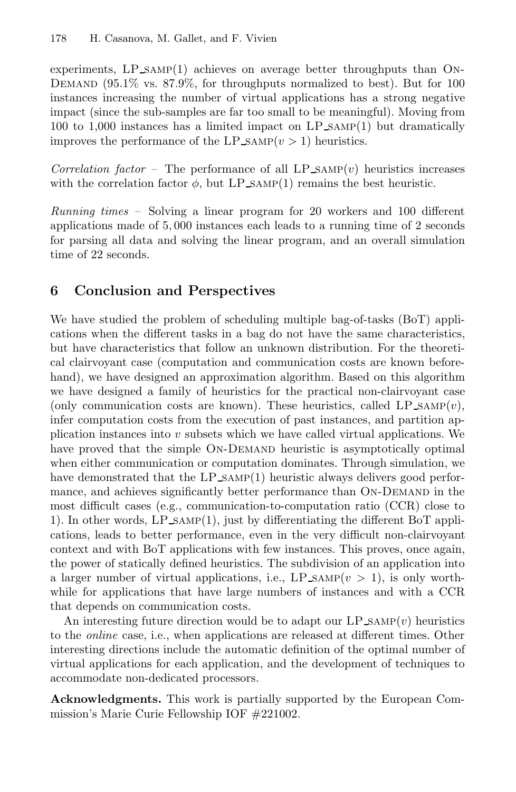experiments,  $LP\_SAMP(1)$  achieves on average better throughputs than ON-DEMAND  $(95.1\%$  vs. 87.9%, for throughputs normalized to best). But for 100 instances increasing the number of virtual applications has a strong negative impact (since the sub-samples are far too small to be meaningful). Moving from 100 to 1,000 instances has a limited impact on LP samp(1) but dramatically improves the performance of the LP\_SAMP $(v > 1)$  heuristics.

*Correlation factor –* The performance of all LP  $SAMP(v)$  heuristics increases with the correlation factor  $\phi$ , but LP\_SAMP(1) remains the best heuristic.

*Running times –* Solving a linear program for 20 workers and 100 different applications made of 5, 000 instances each leads to a running time of 2 seconds for parsing all data and solving the linear program, and an overall simulation time of 22 seconds.

# **6 Conclusion and Perspectives**

We have studied the problem of scheduling multiple bag-of-tasks (BoT) applications when the different tasks in a bag do not have the same characteristics, but have characteristics that follow an unknown distribution. For the theoretical clairvoyant case (computation and communication costs are known beforehand), we have designed an approximation algorithm. Based on this algorithm we have designed a family of heuristics for the practical non-clairvoyant case (only communication costs are known). These heuristics, called LP\_SAMP $(v)$ , infer computation costs from the execution of past instances, and partition application instances into  $v$  subsets which we have called virtual applications. We have proved that the simple ON-DEMAND heuristic is asymptotically optimal when either communication or computation dominates. Through simulation, we have demonstrated that the LP\_SAMP(1) heuristic always delivers good performance, and achieves significantly better performance than ON-DEMAND in the most difficult cases (e.g., communication-to-computation ratio (CCR) close to 1). In other words, LP samp(1), just by differentiating the different BoT applications, leads to better performance, even in the very difficult non-clairvoyant context and with BoT applications with few instances. This proves, once again, the power of statically defined heuristics. The subdivision of an application into a larger number of virtual applications, i.e.,  $LP\_SAMP(v > 1)$ , is only worthwhile for applications that have large numbers of instances and with a CCR that depends on communication costs.

An interesting future direction would be to adapt our  $LP\_SAMP(v)$  heuristics to the *online* case, i.e., when applications are released at different times. Other interesting directions include the automatic definition of the optimal number of virtual applications for each application, and the development of techniques to accommodate non-dedicated processors.

**Acknowledgments.** This work is partially supported by the European Commission's Marie Curie Fellowship IOF #221002.